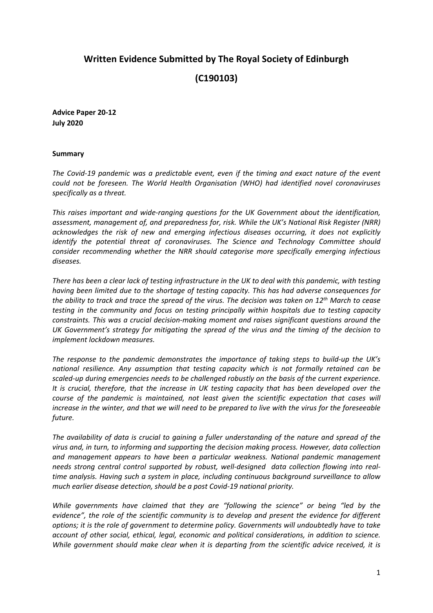# **Written Evidence Submitted by The Royal Society of Edinburgh**

**(C190103)**

**Advice Paper 20-12 July 2020**

#### **Summary**

*The Covid-19 pandemic was a predictable event, even if the timing and exact nature of the event could not be foreseen. The World Health Organisation (WHO) had identified novel coronaviruses specifically as a threat.*

*This raises important and wide-ranging questions for the UK Government about the identification, assessment, management of, and preparedness for, risk. While the UK's National Risk Register (NRR) acknowledges the risk of new and emerging infectious diseases occurring, it does not explicitly identify the potential threat of coronaviruses. The Science and Technology Committee should consider recommending whether the NRR should categorise more specifically emerging infectious diseases.*

There has been a clear lack of testing infrastructure in the UK to deal with this pandemic, with testing *having been limited due to the shortage of testing capacity. This has had adverse consequences for* the ability to track and trace the spread of the virus. The decision was taken on 12<sup>th</sup> March to cease *testing in the community and focus on testing principally within hospitals due to testing capacity constraints. This was a crucial decision-making moment and raises significant questions around the UK Government's strategy for mitigating the spread of the virus and the timing of the decision to implement lockdown measures.*

*The response to the pandemic demonstrates the importance of taking steps to build-up the UK's national resilience. Any assumption that testing capacity which is not formally retained can be scaled-up during emergencies needs to be challenged robustly on the basis of the current experience. It is crucial, therefore, that the increase in UK testing capacity that has been developed over the course of the pandemic is maintained, not least given the scientific expectation that cases will* increase in the winter, and that we will need to be prepared to live with the virus for the foreseeable *future.*

The availability of data is crucial to gaining a fuller understanding of the nature and spread of the *virus and, in turn, to informing and supporting the decision making process. However, data collection and management appears to have been a particular weakness. National pandemic management needs strong central control supported by robust, well-designed data collection flowing into realtime analysis. Having such a system in place, including continuous background surveillance to allow much earlier disease detection, should be a post Covid-19 national priority.*

*While governments have claimed that they are "following the science" or being "led by the evidence", the role of the scientific community is to develop and present the evidence for different options; it is the role of government to determine policy. Governments will undoubtedly have to take account of other social, ethical, legal, economic and political considerations, in addition to science. While government should make clear when it is departing from the scientific advice received, it is*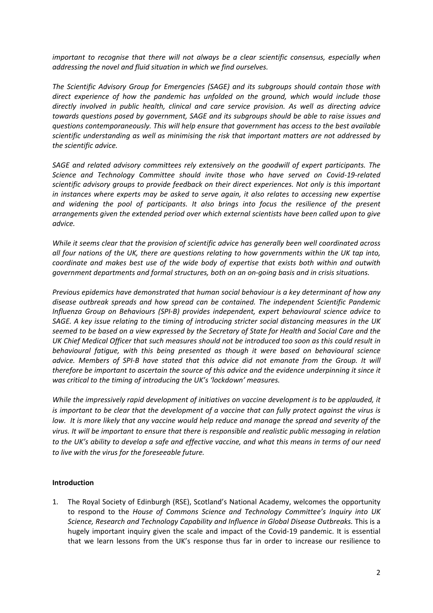*important to recognise that there will not always be a clear scientific consensus, especially when addressing the novel and fluid situation in which we find ourselves.*

*The Scientific Advisory Group for Emergencies (SAGE) and its subgroups should contain those with direct experience of how the pandemic has unfolded on the ground, which would include those directly involved in public health, clinical and care service provision. As well as directing advice towards questions posed by government, SAGE and its subgroups should be able to raise issues and questions contemporaneously. This will help ensure that government has access to the best available scientific understanding as well as minimising the risk that important matters are not addressed by the scientific advice.*

*SAGE and related advisory committees rely extensively on the goodwill of expert participants. The Science and Technology Committee should invite those who have served on Covid-19-related scientific advisory groups to provide feedback on their direct experiences. Not only is this important in instances where experts may be asked to serve again, it also relates to accessing new expertise and widening the pool of participants. It also brings into focus the resilience of the present arrangements given the extended period over which external scientists have been called upon to give advice.*

*While it seems clear that the provision of scientific advice has generally been well coordinated across* all four nations of the UK, there are questions relating to how governments within the UK tap into, *coordinate and makes best use of the wide body of expertise that exists both within and outwith government departments and formal structures, both on an on-going basis and in crisis situations.*

*Previous epidemics have demonstrated that human social behaviour is a key determinant of how any disease outbreak spreads and how spread can be contained. The independent Scientific Pandemic Influenza Group on Behaviours (SPI-B) provides independent, expert behavioural science advice to SAGE. A key issue relating to the timing of introducing stricter social distancing measures in the UK* seemed to be based on a view expressed by the Secretary of State for Health and Social Care and the UK Chief Medical Officer that such measures should not be introduced too soon as this could result in *behavioural fatigue, with this being presented as though it were based on behavioural science advice. Members of SPI-B have stated that this advice did not emanate from the Group. It will therefore be important to ascertain the source of this advice and the evidence underpinning it since it was critical to the timing of introducing the UK's 'lockdown' measures.*

*While the impressively rapid development of initiatives on vaccine development is to be applauded, it* is important to be clear that the development of a vaccine that can fully protect against the virus is low. It is more likely that any vaccine would help reduce and manage the spread and severity of the virus. It will be important to ensure that there is responsible and realistic public messaging in relation to the UK's ability to develop a safe and effective vaccine, and what this means in terms of our need *to live with the virus for the foreseeable future.*

#### **Introduction**

1. The Royal Society of Edinburgh (RSE), Scotland's National Academy, welcomes the opportunity to respond to the *House of Commons Science and Technology Committee's Inquiry into UK Science, Research and Technology Capability and Influence in Global Disease Outbreaks.* This is a hugely important inquiry given the scale and impact of the Covid-19 pandemic. It is essential that we learn lessons from the UK's response thus far in order to increase our resilience to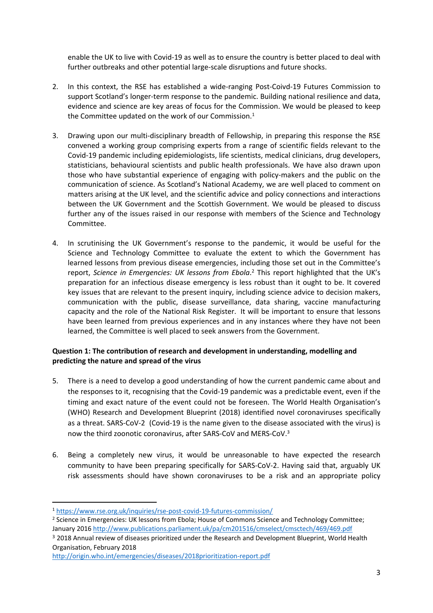enable the UK to live with Covid-19 as well as to ensure the country is better placed to deal with further outbreaks and other potential large-scale disruptions and future shocks.

- 2. In this context, the RSE has established a wide-ranging Post-Coivd-19 Futures Commission to support Scotland's longer-term response to the pandemic. Building national resilience and data, evidence and science are key areas of focus for the Commission. We would be pleased to keep the Committee updated on the work of our Commission.<sup>1</sup>
- 3. Drawing upon our multi-disciplinary breadth of Fellowship, in preparing this response the RSE convened a working group comprising experts from a range of scientific fields relevant to the Covid-19 pandemic including epidemiologists, life scientists, medical clinicians, drug developers, statisticians, behavioural scientists and public health professionals. We have also drawn upon those who have substantial experience of engaging with policy-makers and the public on the communication of science. As Scotland's National Academy, we are well placed to comment on matters arising at the UK level, and the scientific advice and policy connections and interactions between the UK Government and the Scottish Government. We would be pleased to discuss further any of the issues raised in our response with members of the Science and Technology Committee.
- 4. In scrutinising the UK Government's response to the pandemic, it would be useful for the Science and Technology Committee to evaluate the extent to which the Government has learned lessons from previous disease emergencies, including those set out in the Committee's report, *Science in Emergencies: UK lessons from Ebola*. <sup>2</sup> This report highlighted that the UK's preparation for an infectious disease emergency is less robust than it ought to be. It covered key issues that are relevant to the present inquiry, including science advice to decision makers, communication with the public, disease surveillance, data sharing, vaccine manufacturing capacity and the role of the National Risk Register. It will be important to ensure that lessons have been learned from previous experiences and in any instances where they have not been learned, the Committee is well placed to seek answers from the Government.

# **Question 1: The contribution of research and development in understanding, modelling and predicting the nature and spread of the virus**

- 5. There is a need to develop a good understanding of how the current pandemic came about and the responses to it, recognising that the Covid-19 pandemic was a predictable event, even if the timing and exact nature of the event could not be foreseen. The World Health Organisation's (WHO) Research and Development Blueprint (2018) identified novel coronaviruses specifically as a threat. SARS-CoV-2 (Covid-19 is the name given to the disease associated with the virus) is now the third zoonotic coronavirus, after SARS-CoV and MERS-CoV.<sup>3</sup>
- 6. Being a completely new virus, it would be unreasonable to have expected the research community to have been preparing specifically for SARS-CoV-2. Having said that, arguably UK risk assessments should have shown coronaviruses to be a risk and an appropriate policy

<sup>2</sup> Science in Emergencies: UK lessons from Ebola; House of Commons Science and Technology Committee; January 2016 <http://www.publications.parliament.uk/pa/cm201516/cmselect/cmsctech/469/469.pdf>

<sup>1</sup> <https://www.rse.org.uk/inquiries/rse-post-covid-19-futures-commission/>

<sup>&</sup>lt;sup>3</sup> 2018 Annual review of diseases prioritized under the Research and Development Blueprint, World Health Organisation, February 2018

<http://origin.who.int/emergencies/diseases/2018prioritization-report.pdf>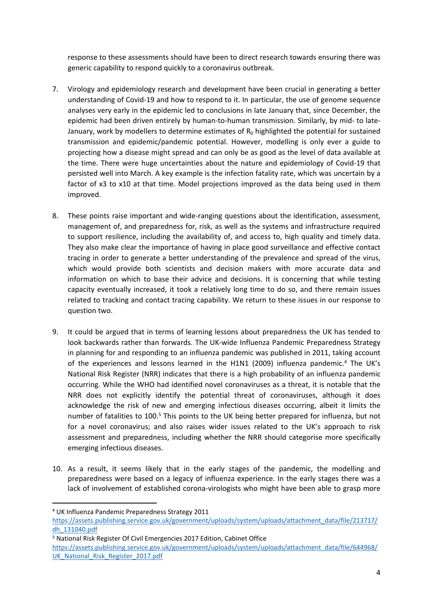response to these assessments should have been to direct research towards ensuring there was generic capability to respond quickly to a coronavirus outbreak.

- 7. Virology and epidemiology research and development have been crucial in generating a better understanding of Covid-19 and how to respond to it. In particular, the use of genome sequence analyses very early in the epidemic led to conclusions in late January that, since December, the epidemic had been driven entirely by human-to-human transmission. Similarly, by mid- to late-January, work by modellers to determine estimates of  $R_0$  highlighted the potential for sustained transmission and epidemic/pandemic potential. However, modelling is only ever a guide to projecting how a disease might spread and can only be as good as the level of data available at the time. There were huge uncertainties about the nature and epidemiology of Covid-19 that persisted well into March. A key example is the infection fatality rate, which was uncertain by a factor of x3 to x10 at that time. Model projections improved as the data being used in them improved.
- 8. These points raise important and wide-ranging questions about the identification, assessment, management of, and preparedness for, risk, as well as the systems and infrastructure required to support resilience, including the availability of, and access to, high quality and timely data. They also make clear the importance of having in place good surveillance and effective contact tracing in order to generate a better understanding of the prevalence and spread of the virus, which would provide both scientists and decision makers with more accurate data and information on which to base their advice and decisions. It is concerning that while testing capacity eventually increased, it took a relatively long time to do so, and there remain issues related to tracking and contact tracing capability. We return to these issues in our response to question two.
- 9. It could be argued that in terms of learning lessons about preparedness the UK has tended to look backwards rather than forwards. The UK-wide Influenza Pandemic Preparedness Strategy in planning for and responding to an influenza pandemic was published in 2011, taking account of the experiences and lessons learned in the H1N1 (2009) influenza pandemic.<sup>4</sup> The UK's National Risk Register (NRR) indicates that there is a high probability of an influenza pandemic occurring. While the WHO had identified novel coronaviruses as a threat, it is notable that the NRR does not explicitly identify the potential threat of coronaviruses, although it does acknowledge the risk of new and emerging infectious diseases occurring, albeit it limits the number of fatalities to 100.<sup>5</sup> This points to the UK being better prepared for influenza, but not for a novel coronavirus; and also raises wider issues related to the UK's approach to risk assessment and preparedness, including whether the NRR should categorise more specifically emerging infectious diseases.
- 10. As a result, it seems likely that in the early stages of the pandemic, the modelling and preparedness were based on a legacy of influenza experience. In the early stages there was a lack of involvement of established corona-virologists who might have been able to grasp more

<sup>4</sup> UK Influenza Pandemic Preparedness Strategy 2011

[https://assets.publishing.service.gov.uk/government/uploads/system/uploads/attachment\\_data/file/213717/](https://assets.publishing.service.gov.uk/government/uploads/system/uploads/attachment_data/file/213717/dh_131040.pdf) [dh\\_131040.pdf](https://assets.publishing.service.gov.uk/government/uploads/system/uploads/attachment_data/file/213717/dh_131040.pdf)

<sup>5</sup> National Risk Register Of Civil Emergencies 2017 Edition, Cabinet Office

[https://assets.publishing.service.gov.uk/government/uploads/system/uploads/attachment\\_data/file/644968/](https://assets.publishing.service.gov.uk/government/uploads/system/uploads/attachment_data/file/644968/UK_National_Risk_Register_2017.pdf) [UK\\_National\\_Risk\\_Register\\_2017.pdf](https://assets.publishing.service.gov.uk/government/uploads/system/uploads/attachment_data/file/644968/UK_National_Risk_Register_2017.pdf)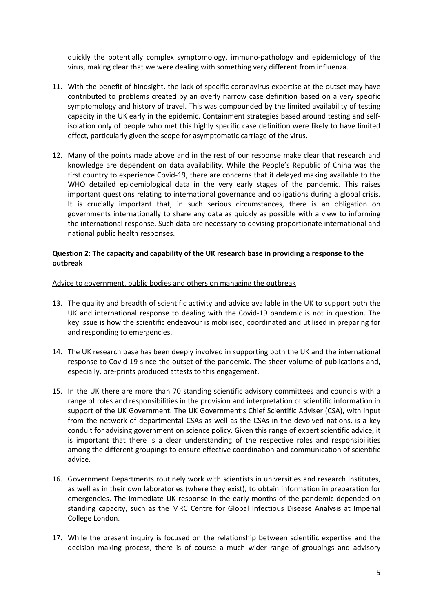quickly the potentially complex symptomology, immuno-pathology and epidemiology of the virus, making clear that we were dealing with something very different from influenza.

- 11. With the benefit of hindsight, the lack of specific coronavirus expertise at the outset may have contributed to problems created by an overly narrow case definition based on a very specific symptomology and history of travel. This was compounded by the limited availability of testing capacity in the UK early in the epidemic. Containment strategies based around testing and selfisolation only of people who met this highly specific case definition were likely to have limited effect, particularly given the scope for asymptomatic carriage of the virus.
- 12. Many of the points made above and in the rest of our response make clear that research and knowledge are dependent on data availability. While the People's Republic of China was the first country to experience Covid-19, there are concerns that it delayed making available to the WHO detailed epidemiological data in the very early stages of the pandemic. This raises important questions relating to international governance and obligations during a global crisis. It is crucially important that, in such serious circumstances, there is an obligation on governments internationally to share any data as quickly as possible with a view to informing the international response. Such data are necessary to devising proportionate international and national public health responses.

## **Question 2: The capacity and capability of the UK research base in providing a response to the outbreak**

Advice to government, public bodies and others on managing the outbreak

- 13. The quality and breadth of scientific activity and advice available in the UK to support both the UK and international response to dealing with the Covid-19 pandemic is not in question. The key issue is how the scientific endeavour is mobilised, coordinated and utilised in preparing for and responding to emergencies.
- 14. The UK research base has been deeply involved in supporting both the UK and the international response to Covid-19 since the outset of the pandemic. The sheer volume of publications and, especially, pre-prints produced attests to this engagement.
- 15. In the UK there are more than 70 standing scientific advisory committees and councils with a range of roles and responsibilities in the provision and interpretation of scientific information in support of the UK Government. The UK Government's Chief Scientific Adviser (CSA), with input from the network of departmental CSAs as well as the CSAs in the devolved nations, is a key conduit for advising government on science policy. Given this range of expert scientific advice, it is important that there is a clear understanding of the respective roles and responsibilities among the different groupings to ensure effective coordination and communication of scientific advice.
- 16. Government Departments routinely work with scientists in universities and research institutes, as well as in their own laboratories (where they exist), to obtain information in preparation for emergencies. The immediate UK response in the early months of the pandemic depended on standing capacity, such as the MRC Centre for Global Infectious Disease Analysis at Imperial College London.
- 17. While the present inquiry is focused on the relationship between scientific expertise and the decision making process, there is of course a much wider range of groupings and advisory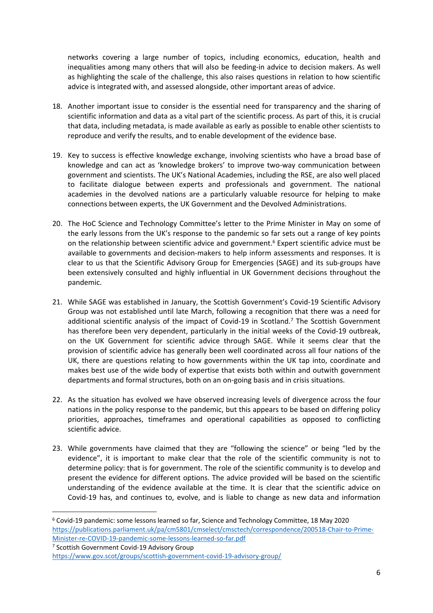networks covering a large number of topics, including economics, education, health and inequalities among many others that will also be feeding-in advice to decision makers. As well as highlighting the scale of the challenge, this also raises questions in relation to how scientific advice is integrated with, and assessed alongside, other important areas of advice.

- 18. Another important issue to consider is the essential need for transparency and the sharing of scientific information and data as a vital part of the scientific process. As part of this, it is crucial that data, including metadata, is made available as early as possible to enable other scientists to reproduce and verify the results, and to enable development of the evidence base.
- 19. Key to success is effective knowledge exchange, involving scientists who have a broad base of knowledge and can act as 'knowledge brokers' to improve two-way communication between government and scientists. The UK's National Academies, including the RSE, are also well placed to facilitate dialogue between experts and professionals and government. The national academies in the devolved nations are a particularly valuable resource for helping to make connections between experts, the UK Government and the Devolved Administrations.
- 20. The HoC Science and Technology Committee's letter to the Prime Minister in May on some of the early lessons from the UK's response to the pandemic so far sets out a range of key points on the relationship between scientific advice and government.<sup>6</sup> Expert scientific advice must be available to governments and decision-makers to help inform assessments and responses. It is clear to us that the Scientific Advisory Group for Emergencies (SAGE) and its sub-groups have been extensively consulted and highly influential in UK Government decisions throughout the pandemic.
- 21. While SAGE was established in January, the Scottish Government's Covid-19 Scientific Advisory Group was not established until late March, following a recognition that there was a need for additional scientific analysis of the impact of Covid-19 in Scotland.<sup>7</sup> The Scottish Government has therefore been very dependent, particularly in the initial weeks of the Covid-19 outbreak, on the UK Government for scientific advice through SAGE. While it seems clear that the provision of scientific advice has generally been well coordinated across all four nations of the UK, there are questions relating to how governments within the UK tap into, coordinate and makes best use of the wide body of expertise that exists both within and outwith government departments and formal structures, both on an on-going basis and in crisis situations.
- 22. As the situation has evolved we have observed increasing levels of divergence across the four nations in the policy response to the pandemic, but this appears to be based on differing policy priorities, approaches, timeframes and operational capabilities as opposed to conflicting scientific advice.
- 23. While governments have claimed that they are "following the science" or being "led by the evidence", it is important to make clear that the role of the scientific community is not to determine policy: that is for government. The role of the scientific community is to develop and present the evidence for different options. The advice provided will be based on the scientific understanding of the evidence available at the time. It is clear that the scientific advice on Covid-19 has, and continues to, evolve, and is liable to change as new data and information

<sup>7</sup> Scottish Government Covid-19 Advisory Group <https://www.gov.scot/groups/scottish-government-covid-19-advisory-group/>

<sup>6</sup> Covid-19 pandemic: some lessons learned so far, Science and Technology Committee, 18 May 2020 [https://publications.parliament.uk/pa/cm5801/cmselect/cmsctech/correspondence/200518-Chair-to-Prime-](https://publications.parliament.uk/pa/cm5801/cmselect/cmsctech/correspondence/200518-Chair-to-Prime-Minister-re-COVID-19-pandemic-some-lessons-learned-so-far.pdf)[Minister-re-COVID-19-pandemic-some-lessons-learned-so-far.pdf](https://publications.parliament.uk/pa/cm5801/cmselect/cmsctech/correspondence/200518-Chair-to-Prime-Minister-re-COVID-19-pandemic-some-lessons-learned-so-far.pdf)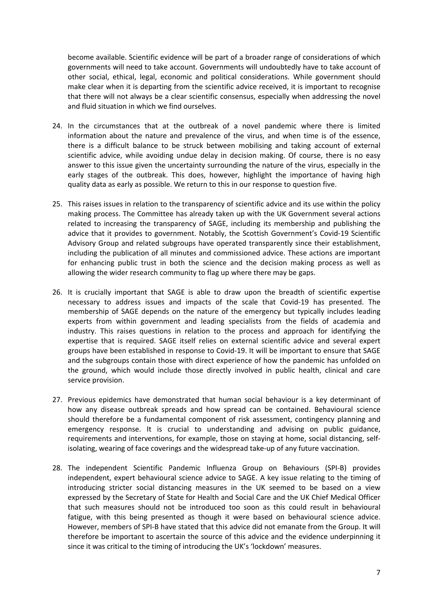become available. Scientific evidence will be part of a broader range of considerations of which governments will need to take account. Governments will undoubtedly have to take account of other social, ethical, legal, economic and political considerations. While government should make clear when it is departing from the scientific advice received, it is important to recognise that there will not always be a clear scientific consensus, especially when addressing the novel and fluid situation in which we find ourselves.

- 24. In the circumstances that at the outbreak of a novel pandemic where there is limited information about the nature and prevalence of the virus, and when time is of the essence, there is a difficult balance to be struck between mobilising and taking account of external scientific advice, while avoiding undue delay in decision making. Of course, there is no easy answer to this issue given the uncertainty surrounding the nature of the virus, especially in the early stages of the outbreak. This does, however, highlight the importance of having high quality data as early as possible. We return to this in our response to question five.
- 25. This raises issues in relation to the transparency of scientific advice and its use within the policy making process. The Committee has already taken up with the UK Government several actions related to increasing the transparency of SAGE, including its membership and publishing the advice that it provides to government. Notably, the Scottish Government's Covid-19 Scientific Advisory Group and related subgroups have operated transparently since their establishment, including the publication of all minutes and commissioned advice. These actions are important for enhancing public trust in both the science and the decision making process as well as allowing the wider research community to flag up where there may be gaps.
- 26. It is crucially important that SAGE is able to draw upon the breadth of scientific expertise necessary to address issues and impacts of the scale that Covid-19 has presented. The membership of SAGE depends on the nature of the emergency but typically includes leading experts from within government and leading specialists from the fields of academia and industry. This raises questions in relation to the process and approach for identifying the expertise that is required. SAGE itself relies on external scientific advice and several expert groups have been established in response to Covid-19. It will be important to ensure that SAGE and the subgroups contain those with direct experience of how the pandemic has unfolded on the ground, which would include those directly involved in public health, clinical and care service provision.
- 27. Previous epidemics have demonstrated that human social behaviour is a key determinant of how any disease outbreak spreads and how spread can be contained. Behavioural science should therefore be a fundamental component of risk assessment, contingency planning and emergency response. It is crucial to understanding and advising on public guidance, requirements and interventions, for example, those on staying at home, social distancing, selfisolating, wearing of face coverings and the widespread take-up of any future vaccination.
- 28. The independent Scientific Pandemic Influenza Group on Behaviours (SPI-B) provides independent, expert behavioural science advice to SAGE. A key issue relating to the timing of introducing stricter social distancing measures in the UK seemed to be based on a view expressed by the Secretary of State for Health and Social Care and the UK Chief Medical Officer that such measures should not be introduced too soon as this could result in behavioural fatigue, with this being presented as though it were based on behavioural science advice. However, members of SPI-B have stated that this advice did not emanate from the Group. It will therefore be important to ascertain the source of this advice and the evidence underpinning it since it was critical to the timing of introducing the UK's 'lockdown' measures.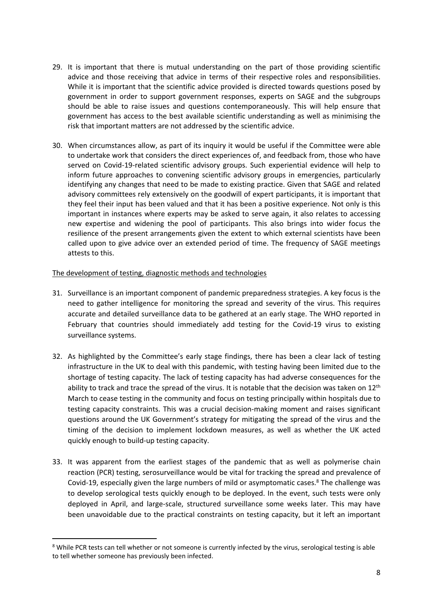- 29. It is important that there is mutual understanding on the part of those providing scientific advice and those receiving that advice in terms of their respective roles and responsibilities. While it is important that the scientific advice provided is directed towards questions posed by government in order to support government responses, experts on SAGE and the subgroups should be able to raise issues and questions contemporaneously. This will help ensure that government has access to the best available scientific understanding as well as minimising the risk that important matters are not addressed by the scientific advice.
- 30. When circumstances allow, as part of its inquiry it would be useful if the Committee were able to undertake work that considers the direct experiences of, and feedback from, those who have served on Covid-19-related scientific advisory groups. Such experiential evidence will help to inform future approaches to convening scientific advisory groups in emergencies, particularly identifying any changes that need to be made to existing practice. Given that SAGE and related advisory committees rely extensively on the goodwill of expert participants, it is important that they feel their input has been valued and that it has been a positive experience. Not only is this important in instances where experts may be asked to serve again, it also relates to accessing new expertise and widening the pool of participants. This also brings into wider focus the resilience of the present arrangements given the extent to which external scientists have been called upon to give advice over an extended period of time. The frequency of SAGE meetings attests to this.

#### The development of testing, diagnostic methods and technologies

- 31. Surveillance is an important component of pandemic preparedness strategies. A key focus is the need to gather intelligence for monitoring the spread and severity of the virus. This requires accurate and detailed surveillance data to be gathered at an early stage. The WHO reported in February that countries should immediately add testing for the Covid-19 virus to existing surveillance systems.
- 32. As highlighted by the Committee's early stage findings, there has been a clear lack of testing infrastructure in the UK to deal with this pandemic, with testing having been limited due to the shortage of testing capacity. The lack of testing capacity has had adverse consequences for the ability to track and trace the spread of the virus. It is notable that the decision was taken on 12<sup>th</sup> March to cease testing in the community and focus on testing principally within hospitals due to testing capacity constraints. This was a crucial decision-making moment and raises significant questions around the UK Government's strategy for mitigating the spread of the virus and the timing of the decision to implement lockdown measures, as well as whether the UK acted quickly enough to build-up testing capacity.
- 33. It was apparent from the earliest stages of the pandemic that as well as polymerise chain reaction (PCR) testing, serosurveillance would be vital for tracking the spread and prevalence of Covid-19, especially given the large numbers of mild or asymptomatic cases.<sup>8</sup> The challenge was to develop serological tests quickly enough to be deployed. In the event, such tests were only deployed in April, and large-scale, structured surveillance some weeks later. This may have been unavoidable due to the practical constraints on testing capacity, but it left an important

<sup>&</sup>lt;sup>8</sup> While PCR tests can tell whether or not someone is currently infected by the virus, serological testing is able to tell whether someone has previously been infected.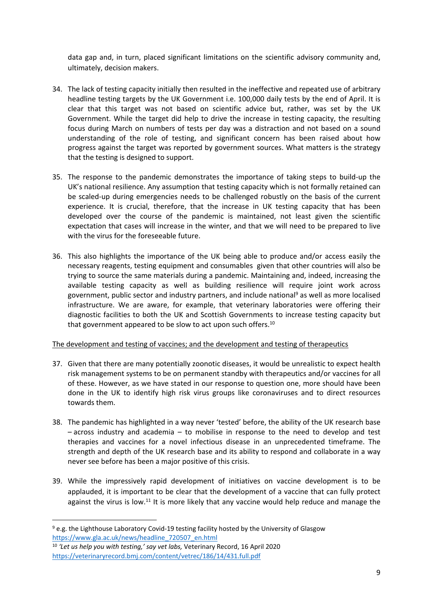data gap and, in turn, placed significant limitations on the scientific advisory community and, ultimately, decision makers.

- 34. The lack of testing capacity initially then resulted in the ineffective and repeated use of arbitrary headline testing targets by the UK Government i.e. 100,000 daily tests by the end of April. It is clear that this target was not based on scientific advice but, rather, was set by the UK Government. While the target did help to drive the increase in testing capacity, the resulting focus during March on numbers of tests per day was a distraction and not based on a sound understanding of the role of testing, and significant concern has been raised about how progress against the target was reported by government sources. What matters is the strategy that the testing is designed to support.
- 35. The response to the pandemic demonstrates the importance of taking steps to build-up the UK's national resilience. Any assumption that testing capacity which is not formally retained can be scaled-up during emergencies needs to be challenged robustly on the basis of the current experience. It is crucial, therefore, that the increase in UK testing capacity that has been developed over the course of the pandemic is maintained, not least given the scientific expectation that cases will increase in the winter, and that we will need to be prepared to live with the virus for the foreseeable future.
- 36. This also highlights the importance of the UK being able to produce and/or access easily the necessary reagents, testing equipment and consumables given that other countries will also be trying to source the same materials during a pandemic. Maintaining and, indeed, increasing the available testing capacity as well as building resilience will require joint work across government, public sector and industry partners, and include national<sup>9</sup> as well as more localised infrastructure. We are aware, for example, that veterinary laboratories were offering their diagnostic facilities to both the UK and Scottish Governments to increase testing capacity but that government appeared to be slow to act upon such offers.<sup>10</sup>

# The development and testing of vaccines; and the development and testing of therapeutics

- 37. Given that there are many potentially zoonotic diseases, it would be unrealistic to expect health risk management systems to be on permanent standby with therapeutics and/or vaccines for all of these. However, as we have stated in our response to question one, more should have been done in the UK to identify high risk virus groups like coronaviruses and to direct resources towards them.
- 38. The pandemic has highlighted in a way never 'tested' before, the ability of the UK research base – across industry and academia – to mobilise in response to the need to develop and test therapies and vaccines for a novel infectious disease in an unprecedented timeframe. The strength and depth of the UK research base and its ability to respond and collaborate in a way never see before has been a major positive of this crisis.
- 39. While the impressively rapid development of initiatives on vaccine development is to be applauded, it is important to be clear that the development of a vaccine that can fully protect against the virus is low.<sup>11</sup> It is more likely that any vaccine would help reduce and manage the

<sup>9</sup> e.g. the Lighthouse Laboratory Covid-19 testing facility hosted by the University of Glasgow [https://www.gla.ac.uk/news/headline\\_720507\\_en.html](https://www.gla.ac.uk/news/headline_720507_en.html)

<sup>10</sup> *'Let us help you with testing,' say vet labs,* Veterinary Record, 16 April 2020 <https://veterinaryrecord.bmj.com/content/vetrec/186/14/431.full.pdf>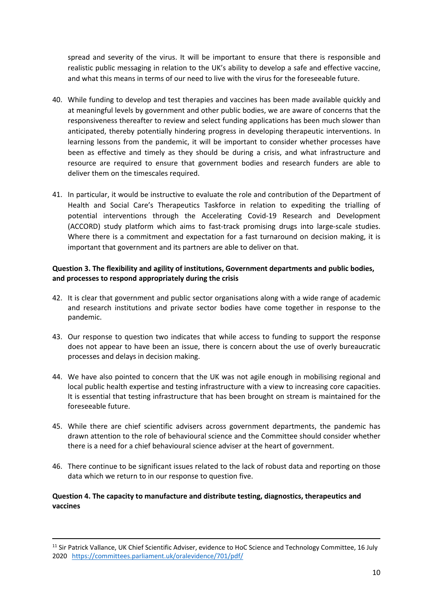spread and severity of the virus. It will be important to ensure that there is responsible and realistic public messaging in relation to the UK's ability to develop a safe and effective vaccine, and what this means in terms of our need to live with the virus for the foreseeable future.

- 40. While funding to develop and test therapies and vaccines has been made available quickly and at meaningful levels by government and other public bodies, we are aware of concerns that the responsiveness thereafter to review and select funding applications has been much slower than anticipated, thereby potentially hindering progress in developing therapeutic interventions. In learning lessons from the pandemic, it will be important to consider whether processes have been as effective and timely as they should be during a crisis, and what infrastructure and resource are required to ensure that government bodies and research funders are able to deliver them on the timescales required.
- 41. In particular, it would be instructive to evaluate the role and contribution of the Department of Health and Social Care's Therapeutics Taskforce in relation to expediting the trialling of potential interventions through the Accelerating Covid-19 Research and Development (ACCORD) study platform which aims to fast-track promising drugs into large-scale studies. Where there is a commitment and expectation for a fast turnaround on decision making, it is important that government and its partners are able to deliver on that.

## **Question 3. The flexibility and agility of institutions, Government departments and public bodies, and processes to respond appropriately during the crisis**

- 42. It is clear that government and public sector organisations along with a wide range of academic and research institutions and private sector bodies have come together in response to the pandemic.
- 43. Our response to question two indicates that while access to funding to support the response does not appear to have been an issue, there is concern about the use of overly bureaucratic processes and delays in decision making.
- 44. We have also pointed to concern that the UK was not agile enough in mobilising regional and local public health expertise and testing infrastructure with a view to increasing core capacities. It is essential that testing infrastructure that has been brought on stream is maintained for the foreseeable future.
- 45. While there are chief scientific advisers across government departments, the pandemic has drawn attention to the role of behavioural science and the Committee should consider whether there is a need for a chief behavioural science adviser at the heart of government.
- 46. There continue to be significant issues related to the lack of robust data and reporting on those data which we return to in our response to question five.

#### **Question 4. The capacity to manufacture and distribute testing, diagnostics, therapeutics and vaccines**

<sup>11</sup> Sir Patrick Vallance, UK Chief Scientific Adviser, evidence to HoC Science and Technology Committee, 16 July 2020 <https://committees.parliament.uk/oralevidence/701/pdf/>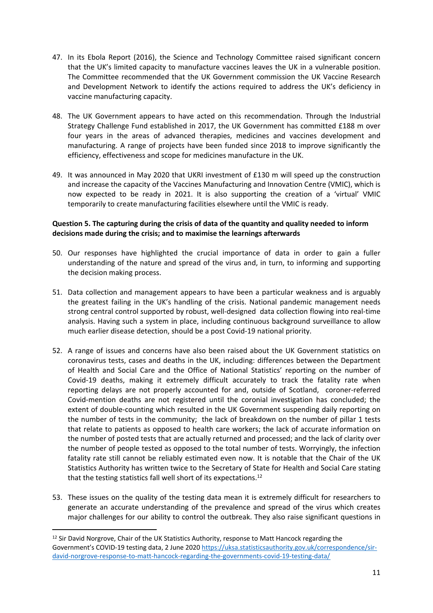- 47. In its Ebola Report (2016), the Science and Technology Committee raised significant concern that the UK's limited capacity to manufacture vaccines leaves the UK in a vulnerable position. The Committee recommended that the UK Government commission the UK Vaccine Research and Development Network to identify the actions required to address the UK's deficiency in vaccine manufacturing capacity.
- 48. The UK Government appears to have acted on this recommendation. Through the Industrial Strategy Challenge Fund established in 2017, the UK Government has committed £188 m over four years in the areas of advanced therapies, medicines and vaccines development and manufacturing. A range of projects have been funded since 2018 to improve significantly the efficiency, effectiveness and scope for medicines manufacture in the UK.
- 49. It was announced in May 2020 that UKRI investment of £130 m will speed up the construction and increase the capacity of the Vaccines Manufacturing and Innovation Centre (VMIC), which is now expected to be ready in 2021. It is also supporting the creation of a 'virtual' VMIC temporarily to create manufacturing facilities elsewhere until the VMIC is ready.

## **Question 5. The capturing during the crisis of data of the quantity and quality needed to inform decisions made during the crisis; and to maximise the learnings afterwards**

- 50. Our responses have highlighted the crucial importance of data in order to gain a fuller understanding of the nature and spread of the virus and, in turn, to informing and supporting the decision making process.
- 51. Data collection and management appears to have been a particular weakness and is arguably the greatest failing in the UK's handling of the crisis. National pandemic management needs strong central control supported by robust, well-designed data collection flowing into real-time analysis. Having such a system in place, including continuous background surveillance to allow much earlier disease detection, should be a post Covid-19 national priority.
- 52. A range of issues and concerns have also been raised about the UK Government statistics on coronavirus tests, cases and deaths in the UK, including: differences between the Department of Health and Social Care and the Office of National Statistics' reporting on the number of Covid-19 deaths, making it extremely difficult accurately to track the fatality rate when reporting delays are not properly accounted for and, outside of Scotland, coroner-referred Covid-mention deaths are not registered until the coronial investigation has concluded; the extent of double-counting which resulted in the UK Government suspending daily reporting on the number of tests in the community; the lack of breakdown on the number of pillar 1 tests that relate to patients as opposed to health care workers; the lack of accurate information on the number of posted tests that are actually returned and processed; and the lack of clarity over the number of people tested as opposed to the total number of tests. Worryingly, the infection fatality rate still cannot be reliably estimated even now. It is notable that the Chair of the UK Statistics Authority has written twice to the Secretary of State for Health and Social Care stating that the testing statistics fall well short of its expectations.<sup>12</sup>
- 53. These issues on the quality of the testing data mean it is extremely difficult for researchers to generate an accurate understanding of the prevalence and spread of the virus which creates major challenges for our ability to control the outbreak. They also raise significant questions in

<sup>&</sup>lt;sup>12</sup> Sir David Norgrove, Chair of the UK Statistics Authority, response to Matt Hancock regarding the Government's COVID-19 testing data, 2 June 2020 [https://uksa.statisticsauthority.gov.uk/correspondence/sir](https://uksa.statisticsauthority.gov.uk/correspondence/sir-david-norgrove-response-to-matt-hancock-regarding-the-governments-covid-19-testing-data/)[david-norgrove-response-to-matt-hancock-regarding-the-governments-covid-19-testing-data/](https://uksa.statisticsauthority.gov.uk/correspondence/sir-david-norgrove-response-to-matt-hancock-regarding-the-governments-covid-19-testing-data/)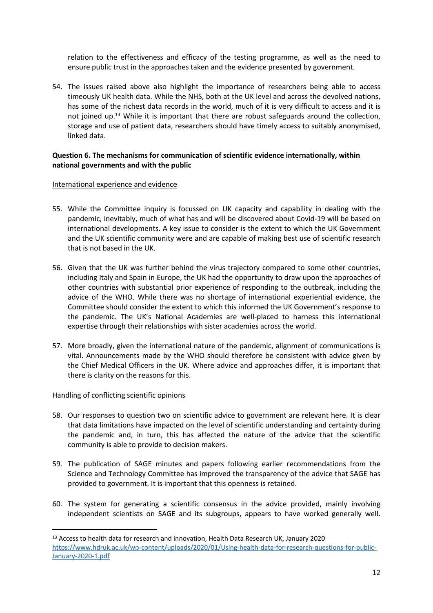relation to the effectiveness and efficacy of the testing programme, as well as the need to ensure public trust in the approaches taken and the evidence presented by government.

54. The issues raised above also highlight the importance of researchers being able to access timeously UK health data. While the NHS, both at the UK level and across the devolved nations, has some of the richest data records in the world, much of it is very difficult to access and it is not joined up.<sup>13</sup> While it is important that there are robust safeguards around the collection, storage and use of patient data, researchers should have timely access to suitably anonymised, linked data.

## **Question 6. The mechanisms for communication of scientific evidence internationally, within national governments and with the public**

#### International experience and evidence

- 55. While the Committee inquiry is focussed on UK capacity and capability in dealing with the pandemic, inevitably, much of what has and will be discovered about Covid-19 will be based on international developments. A key issue to consider is the extent to which the UK Government and the UK scientific community were and are capable of making best use of scientific research that is not based in the UK.
- 56. Given that the UK was further behind the virus trajectory compared to some other countries, including Italy and Spain in Europe, the UK had the opportunity to draw upon the approaches of other countries with substantial prior experience of responding to the outbreak, including the advice of the WHO. While there was no shortage of international experiential evidence, the Committee should consider the extent to which this informed the UK Government's response to the pandemic. The UK's National Academies are well-placed to harness this international expertise through their relationships with sister academies across the world.
- 57. More broadly, given the international nature of the pandemic, alignment of communications is vital. Announcements made by the WHO should therefore be consistent with advice given by the Chief Medical Officers in the UK. Where advice and approaches differ, it is important that there is clarity on the reasons for this.

# Handling of conflicting scientific opinions

- 58. Our responses to question two on scientific advice to government are relevant here. It is clear that data limitations have impacted on the level of scientific understanding and certainty during the pandemic and, in turn, this has affected the nature of the advice that the scientific community is able to provide to decision makers.
- 59. The publication of SAGE minutes and papers following earlier recommendations from the Science and Technology Committee has improved the transparency of the advice that SAGE has provided to government. It is important that this openness is retained.
- 60. The system for generating a scientific consensus in the advice provided, mainly involving independent scientists on SAGE and its subgroups, appears to have worked generally well.

<sup>&</sup>lt;sup>13</sup> Access to health data for research and innovation, Health Data Research UK, January 2020 [https://www.hdruk.ac.uk/wp-content/uploads/2020/01/Using-health-data-for-research-questions-for-public-](https://www.hdruk.ac.uk/wp-content/uploads/2020/01/Using-health-data-for-research-questions-for-public-January-2020-1.pdf)[January-2020-1.pdf](https://www.hdruk.ac.uk/wp-content/uploads/2020/01/Using-health-data-for-research-questions-for-public-January-2020-1.pdf)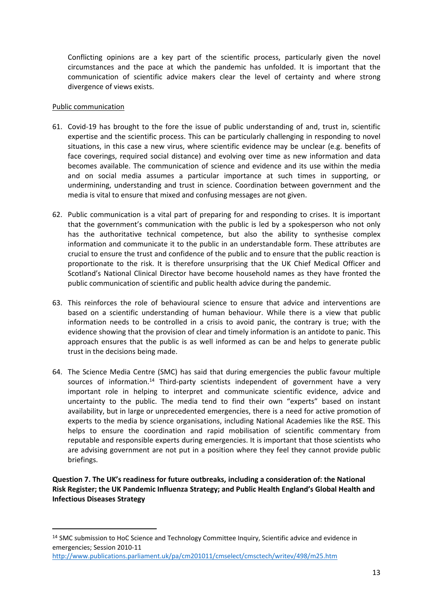Conflicting opinions are a key part of the scientific process, particularly given the novel circumstances and the pace at which the pandemic has unfolded. It is important that the communication of scientific advice makers clear the level of certainty and where strong divergence of views exists.

#### Public communication

- 61. Covid-19 has brought to the fore the issue of public understanding of and, trust in, scientific expertise and the scientific process. This can be particularly challenging in responding to novel situations, in this case a new virus, where scientific evidence may be unclear (e.g. benefits of face coverings, required social distance) and evolving over time as new information and data becomes available. The communication of science and evidence and its use within the media and on social media assumes a particular importance at such times in supporting, or undermining, understanding and trust in science. Coordination between government and the media is vital to ensure that mixed and confusing messages are not given.
- 62. Public communication is a vital part of preparing for and responding to crises. It is important that the government's communication with the public is led by a spokesperson who not only has the authoritative technical competence, but also the ability to synthesise complex information and communicate it to the public in an understandable form. These attributes are crucial to ensure the trust and confidence of the public and to ensure that the public reaction is proportionate to the risk. It is therefore unsurprising that the UK Chief Medical Officer and Scotland's National Clinical Director have become household names as they have fronted the public communication of scientific and public health advice during the pandemic.
- 63. This reinforces the role of behavioural science to ensure that advice and interventions are based on a scientific understanding of human behaviour. While there is a view that public information needs to be controlled in a crisis to avoid panic, the contrary is true; with the evidence showing that the provision of clear and timely information is an antidote to panic. This approach ensures that the public is as well informed as can be and helps to generate public trust in the decisions being made.
- 64. The Science Media Centre (SMC) has said that during emergencies the public favour multiple sources of information.<sup>14</sup> Third-party scientists independent of government have a very important role in helping to interpret and communicate scientific evidence, advice and uncertainty to the public. The media tend to find their own "experts" based on instant availability, but in large or unprecedented emergencies, there is a need for active promotion of experts to the media by science organisations, including National Academies like the RSE. This helps to ensure the coordination and rapid mobilisation of scientific commentary from reputable and responsible experts during emergencies. It is important that those scientists who are advising government are not put in a position where they feel they cannot provide public briefings.

**Question 7. The UK's readiness for future outbreaks, including a consideration of: the National Risk Register; the UK Pandemic Influenza Strategy; and Public Health England's Global Health and Infectious Diseases Strategy**

<sup>&</sup>lt;sup>14</sup> SMC submission to HoC Science and Technology Committee Inquiry, Scientific advice and evidence in emergencies; Session 2010-11

<http://www.publications.parliament.uk/pa/cm201011/cmselect/cmsctech/writev/498/m25.htm>